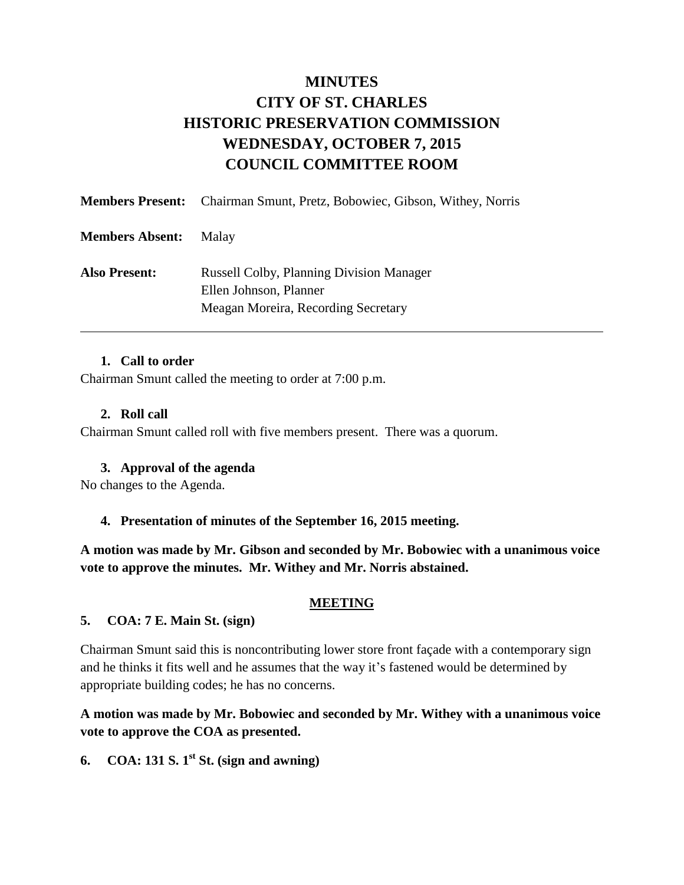# **MINUTES CITY OF ST. CHARLES HISTORIC PRESERVATION COMMISSION WEDNESDAY, OCTOBER 7, 2015 COUNCIL COMMITTEE ROOM**

|                        | <b>Members Present:</b> Chairman Smunt, Pretz, Bobowiec, Gibson, Withey, Norris                                  |
|------------------------|------------------------------------------------------------------------------------------------------------------|
| <b>Members Absent:</b> | Malay                                                                                                            |
| <b>Also Present:</b>   | <b>Russell Colby, Planning Division Manager</b><br>Ellen Johnson, Planner<br>Meagan Moreira, Recording Secretary |

#### **1. Call to order**

Chairman Smunt called the meeting to order at 7:00 p.m.

#### **2. Roll call**

Chairman Smunt called roll with five members present. There was a quorum.

#### **3. Approval of the agenda**

No changes to the Agenda.

#### **4. Presentation of minutes of the September 16, 2015 meeting.**

**A motion was made by Mr. Gibson and seconded by Mr. Bobowiec with a unanimous voice vote to approve the minutes. Mr. Withey and Mr. Norris abstained.**

#### **MEETING**

#### **5. COA: 7 E. Main St. (sign)**

Chairman Smunt said this is noncontributing lower store front façade with a contemporary sign and he thinks it fits well and he assumes that the way it's fastened would be determined by appropriate building codes; he has no concerns.

**A motion was made by Mr. Bobowiec and seconded by Mr. Withey with a unanimous voice vote to approve the COA as presented.** 

**6. COA:** 131 S.  $1^{st}$  St. (sign and awning)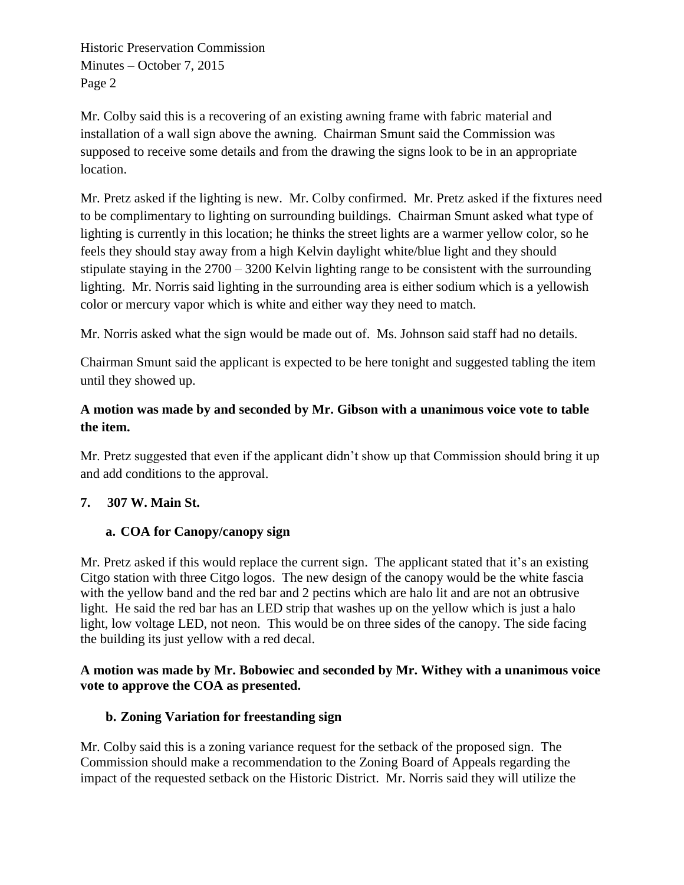Mr. Colby said this is a recovering of an existing awning frame with fabric material and installation of a wall sign above the awning. Chairman Smunt said the Commission was supposed to receive some details and from the drawing the signs look to be in an appropriate location.

Mr. Pretz asked if the lighting is new. Mr. Colby confirmed. Mr. Pretz asked if the fixtures need to be complimentary to lighting on surrounding buildings. Chairman Smunt asked what type of lighting is currently in this location; he thinks the street lights are a warmer yellow color, so he feels they should stay away from a high Kelvin daylight white/blue light and they should stipulate staying in the 2700 – 3200 Kelvin lighting range to be consistent with the surrounding lighting. Mr. Norris said lighting in the surrounding area is either sodium which is a yellowish color or mercury vapor which is white and either way they need to match.

Mr. Norris asked what the sign would be made out of. Ms. Johnson said staff had no details.

Chairman Smunt said the applicant is expected to be here tonight and suggested tabling the item until they showed up.

# **A motion was made by and seconded by Mr. Gibson with a unanimous voice vote to table the item.**

Mr. Pretz suggested that even if the applicant didn't show up that Commission should bring it up and add conditions to the approval.

# **7. 307 W. Main St.**

## **a. COA for Canopy/canopy sign**

Mr. Pretz asked if this would replace the current sign. The applicant stated that it's an existing Citgo station with three Citgo logos. The new design of the canopy would be the white fascia with the yellow band and the red bar and 2 pectins which are halo lit and are not an obtrusive light. He said the red bar has an LED strip that washes up on the yellow which is just a halo light, low voltage LED, not neon. This would be on three sides of the canopy. The side facing the building its just yellow with a red decal.

#### **A motion was made by Mr. Bobowiec and seconded by Mr. Withey with a unanimous voice vote to approve the COA as presented.**

## **b. Zoning Variation for freestanding sign**

Mr. Colby said this is a zoning variance request for the setback of the proposed sign. The Commission should make a recommendation to the Zoning Board of Appeals regarding the impact of the requested setback on the Historic District. Mr. Norris said they will utilize the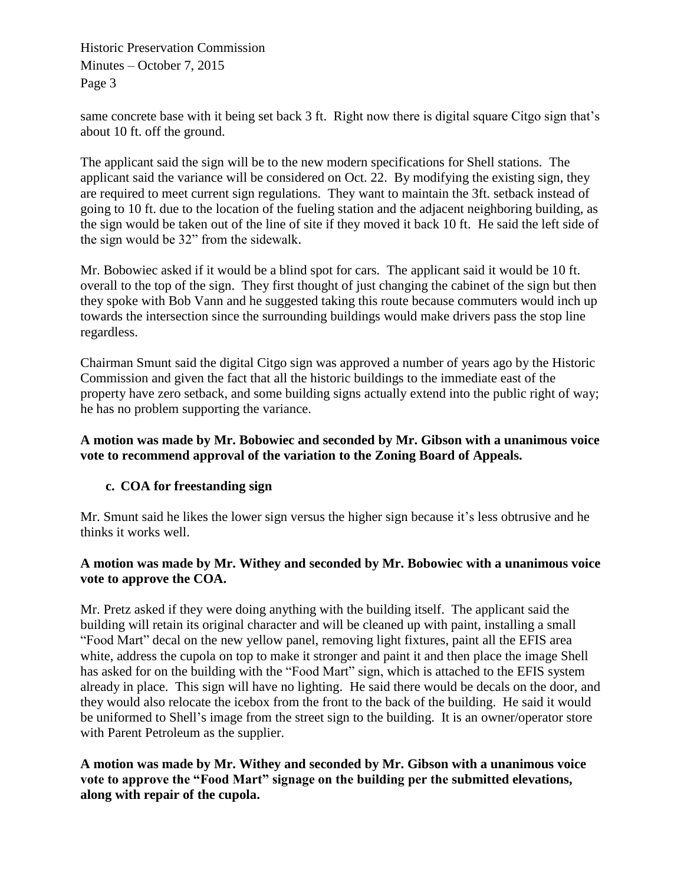same concrete base with it being set back 3 ft. Right now there is digital square Citgo sign that's about 10 ft. off the ground.

The applicant said the sign will be to the new modern specifications for Shell stations. The applicant said the variance will be considered on Oct. 22. By modifying the existing sign, they are required to meet current sign regulations. They want to maintain the 3ft. setback instead of going to 10 ft. due to the location of the fueling station and the adjacent neighboring building, as the sign would be taken out of the line of site if they moved it back 10 ft. He said the left side of the sign would be 32" from the sidewalk.

Mr. Bobowiec asked if it would be a blind spot for cars. The applicant said it would be 10 ft. overall to the top of the sign. They first thought of just changing the cabinet of the sign but then they spoke with Bob Vann and he suggested taking this route because commuters would inch up towards the intersection since the surrounding buildings would make drivers pass the stop line regardless.

Chairman Smunt said the digital Citgo sign was approved a number of years ago by the Historic Commission and given the fact that all the historic buildings to the immediate east of the property have zero setback, and some building signs actually extend into the public right of way; he has no problem supporting the variance.

## **A motion was made by Mr. Bobowiec and seconded by Mr. Gibson with a unanimous voice vote to recommend approval of the variation to the Zoning Board of Appeals.**

## **c. COA for freestanding sign**

Mr. Smunt said he likes the lower sign versus the higher sign because it's less obtrusive and he thinks it works well.

## **A motion was made by Mr. Withey and seconded by Mr. Bobowiec with a unanimous voice vote to approve the COA.**

Mr. Pretz asked if they were doing anything with the building itself. The applicant said the building will retain its original character and will be cleaned up with paint, installing a small "Food Mart" decal on the new yellow panel, removing light fixtures, paint all the EFIS area white, address the cupola on top to make it stronger and paint it and then place the image Shell has asked for on the building with the "Food Mart" sign, which is attached to the EFIS system already in place. This sign will have no lighting. He said there would be decals on the door, and they would also relocate the icebox from the front to the back of the building. He said it would be uniformed to Shell's image from the street sign to the building. It is an owner/operator store with Parent Petroleum as the supplier.

## **A motion was made by Mr. Withey and seconded by Mr. Gibson with a unanimous voice vote to approve the "Food Mart" signage on the building per the submitted elevations, along with repair of the cupola.**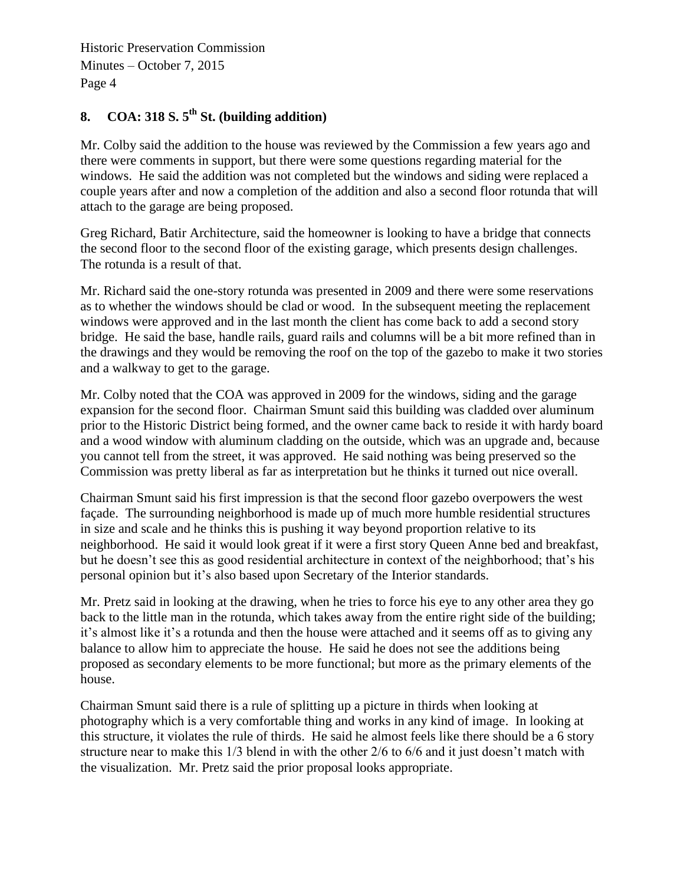# 8. **COA:** 318 S.  $5^{th}$  St. (building addition)

Mr. Colby said the addition to the house was reviewed by the Commission a few years ago and there were comments in support, but there were some questions regarding material for the windows. He said the addition was not completed but the windows and siding were replaced a couple years after and now a completion of the addition and also a second floor rotunda that will attach to the garage are being proposed.

Greg Richard, Batir Architecture, said the homeowner is looking to have a bridge that connects the second floor to the second floor of the existing garage, which presents design challenges. The rotunda is a result of that.

Mr. Richard said the one-story rotunda was presented in 2009 and there were some reservations as to whether the windows should be clad or wood. In the subsequent meeting the replacement windows were approved and in the last month the client has come back to add a second story bridge. He said the base, handle rails, guard rails and columns will be a bit more refined than in the drawings and they would be removing the roof on the top of the gazebo to make it two stories and a walkway to get to the garage.

Mr. Colby noted that the COA was approved in 2009 for the windows, siding and the garage expansion for the second floor. Chairman Smunt said this building was cladded over aluminum prior to the Historic District being formed, and the owner came back to reside it with hardy board and a wood window with aluminum cladding on the outside, which was an upgrade and, because you cannot tell from the street, it was approved. He said nothing was being preserved so the Commission was pretty liberal as far as interpretation but he thinks it turned out nice overall.

Chairman Smunt said his first impression is that the second floor gazebo overpowers the west façade. The surrounding neighborhood is made up of much more humble residential structures in size and scale and he thinks this is pushing it way beyond proportion relative to its neighborhood. He said it would look great if it were a first story Queen Anne bed and breakfast, but he doesn't see this as good residential architecture in context of the neighborhood; that's his personal opinion but it's also based upon Secretary of the Interior standards.

Mr. Pretz said in looking at the drawing, when he tries to force his eye to any other area they go back to the little man in the rotunda, which takes away from the entire right side of the building; it's almost like it's a rotunda and then the house were attached and it seems off as to giving any balance to allow him to appreciate the house. He said he does not see the additions being proposed as secondary elements to be more functional; but more as the primary elements of the house.

Chairman Smunt said there is a rule of splitting up a picture in thirds when looking at photography which is a very comfortable thing and works in any kind of image. In looking at this structure, it violates the rule of thirds. He said he almost feels like there should be a 6 story structure near to make this 1/3 blend in with the other 2/6 to 6/6 and it just doesn't match with the visualization. Mr. Pretz said the prior proposal looks appropriate.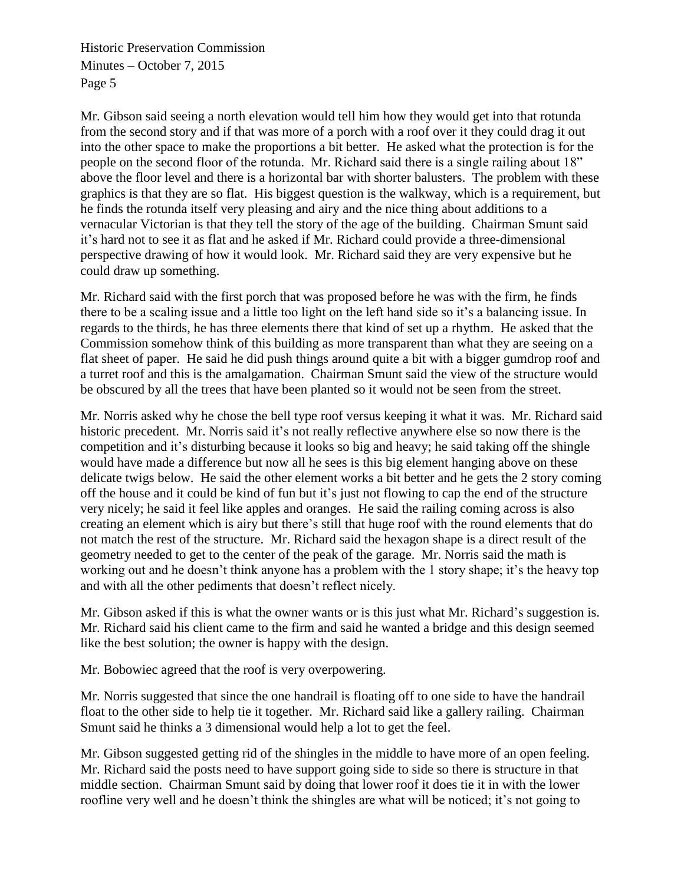Mr. Gibson said seeing a north elevation would tell him how they would get into that rotunda from the second story and if that was more of a porch with a roof over it they could drag it out into the other space to make the proportions a bit better. He asked what the protection is for the people on the second floor of the rotunda. Mr. Richard said there is a single railing about 18" above the floor level and there is a horizontal bar with shorter balusters. The problem with these graphics is that they are so flat. His biggest question is the walkway, which is a requirement, but he finds the rotunda itself very pleasing and airy and the nice thing about additions to a vernacular Victorian is that they tell the story of the age of the building. Chairman Smunt said it's hard not to see it as flat and he asked if Mr. Richard could provide a three-dimensional perspective drawing of how it would look. Mr. Richard said they are very expensive but he could draw up something.

Mr. Richard said with the first porch that was proposed before he was with the firm, he finds there to be a scaling issue and a little too light on the left hand side so it's a balancing issue. In regards to the thirds, he has three elements there that kind of set up a rhythm. He asked that the Commission somehow think of this building as more transparent than what they are seeing on a flat sheet of paper. He said he did push things around quite a bit with a bigger gumdrop roof and a turret roof and this is the amalgamation. Chairman Smunt said the view of the structure would be obscured by all the trees that have been planted so it would not be seen from the street.

Mr. Norris asked why he chose the bell type roof versus keeping it what it was. Mr. Richard said historic precedent. Mr. Norris said it's not really reflective anywhere else so now there is the competition and it's disturbing because it looks so big and heavy; he said taking off the shingle would have made a difference but now all he sees is this big element hanging above on these delicate twigs below. He said the other element works a bit better and he gets the 2 story coming off the house and it could be kind of fun but it's just not flowing to cap the end of the structure very nicely; he said it feel like apples and oranges. He said the railing coming across is also creating an element which is airy but there's still that huge roof with the round elements that do not match the rest of the structure. Mr. Richard said the hexagon shape is a direct result of the geometry needed to get to the center of the peak of the garage. Mr. Norris said the math is working out and he doesn't think anyone has a problem with the 1 story shape; it's the heavy top and with all the other pediments that doesn't reflect nicely.

Mr. Gibson asked if this is what the owner wants or is this just what Mr. Richard's suggestion is. Mr. Richard said his client came to the firm and said he wanted a bridge and this design seemed like the best solution; the owner is happy with the design.

Mr. Bobowiec agreed that the roof is very overpowering.

Mr. Norris suggested that since the one handrail is floating off to one side to have the handrail float to the other side to help tie it together. Mr. Richard said like a gallery railing. Chairman Smunt said he thinks a 3 dimensional would help a lot to get the feel.

Mr. Gibson suggested getting rid of the shingles in the middle to have more of an open feeling. Mr. Richard said the posts need to have support going side to side so there is structure in that middle section. Chairman Smunt said by doing that lower roof it does tie it in with the lower roofline very well and he doesn't think the shingles are what will be noticed; it's not going to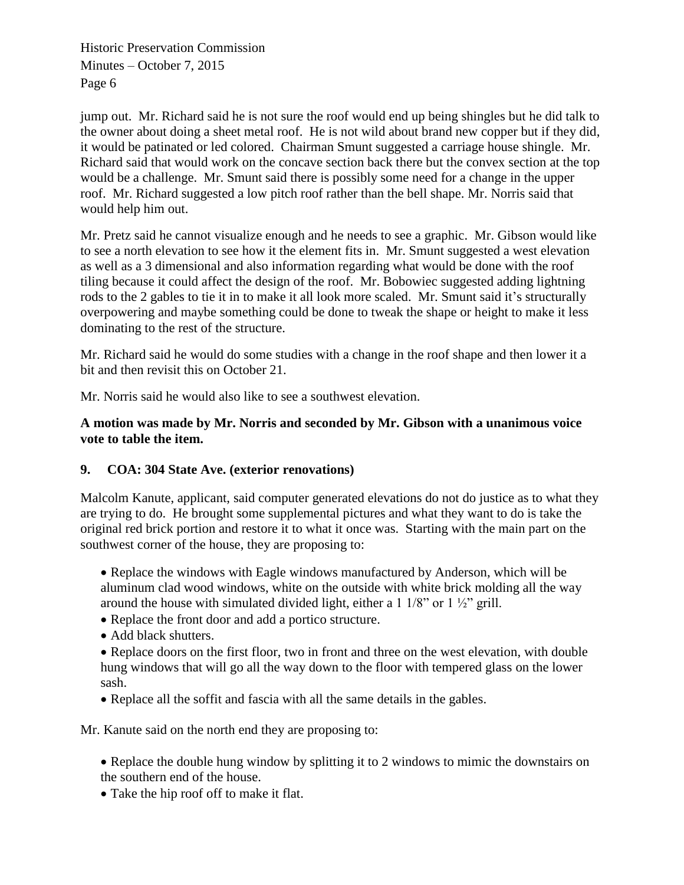jump out. Mr. Richard said he is not sure the roof would end up being shingles but he did talk to the owner about doing a sheet metal roof. He is not wild about brand new copper but if they did, it would be patinated or led colored. Chairman Smunt suggested a carriage house shingle. Mr. Richard said that would work on the concave section back there but the convex section at the top would be a challenge. Mr. Smunt said there is possibly some need for a change in the upper roof. Mr. Richard suggested a low pitch roof rather than the bell shape. Mr. Norris said that would help him out.

Mr. Pretz said he cannot visualize enough and he needs to see a graphic. Mr. Gibson would like to see a north elevation to see how it the element fits in. Mr. Smunt suggested a west elevation as well as a 3 dimensional and also information regarding what would be done with the roof tiling because it could affect the design of the roof. Mr. Bobowiec suggested adding lightning rods to the 2 gables to tie it in to make it all look more scaled. Mr. Smunt said it's structurally overpowering and maybe something could be done to tweak the shape or height to make it less dominating to the rest of the structure.

Mr. Richard said he would do some studies with a change in the roof shape and then lower it a bit and then revisit this on October 21.

Mr. Norris said he would also like to see a southwest elevation.

## **A motion was made by Mr. Norris and seconded by Mr. Gibson with a unanimous voice vote to table the item.**

# **9. COA: 304 State Ave. (exterior renovations)**

Malcolm Kanute, applicant, said computer generated elevations do not do justice as to what they are trying to do. He brought some supplemental pictures and what they want to do is take the original red brick portion and restore it to what it once was. Starting with the main part on the southwest corner of the house, they are proposing to:

• Replace the windows with Eagle windows manufactured by Anderson, which will be aluminum clad wood windows, white on the outside with white brick molding all the way around the house with simulated divided light, either a  $1 \frac{1}{8}$  or  $1 \frac{1}{2}$  grill.

- Replace the front door and add a portico structure.
- Add black shutters.

• Replace doors on the first floor, two in front and three on the west elevation, with double hung windows that will go all the way down to the floor with tempered glass on the lower sash.

• Replace all the soffit and fascia with all the same details in the gables.

Mr. Kanute said on the north end they are proposing to:

• Replace the double hung window by splitting it to 2 windows to mimic the downstairs on the southern end of the house.

Take the hip roof off to make it flat.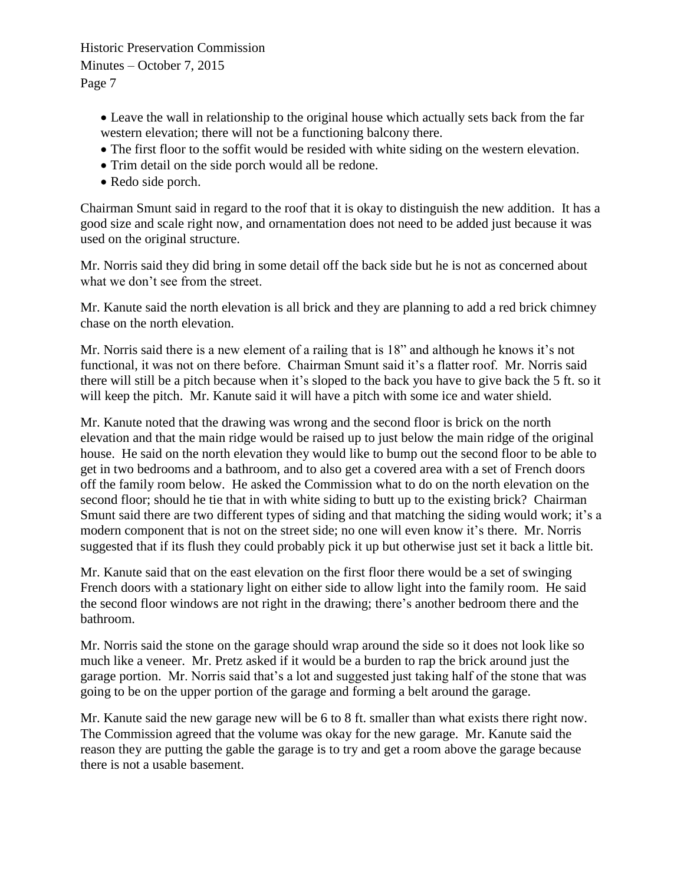> Leave the wall in relationship to the original house which actually sets back from the far western elevation; there will not be a functioning balcony there.

- The first floor to the soffit would be resided with white siding on the western elevation.
- Trim detail on the side porch would all be redone.
- Redo side porch.

Chairman Smunt said in regard to the roof that it is okay to distinguish the new addition. It has a good size and scale right now, and ornamentation does not need to be added just because it was used on the original structure.

Mr. Norris said they did bring in some detail off the back side but he is not as concerned about what we don't see from the street.

Mr. Kanute said the north elevation is all brick and they are planning to add a red brick chimney chase on the north elevation.

Mr. Norris said there is a new element of a railing that is 18" and although he knows it's not functional, it was not on there before. Chairman Smunt said it's a flatter roof. Mr. Norris said there will still be a pitch because when it's sloped to the back you have to give back the 5 ft. so it will keep the pitch. Mr. Kanute said it will have a pitch with some ice and water shield.

Mr. Kanute noted that the drawing was wrong and the second floor is brick on the north elevation and that the main ridge would be raised up to just below the main ridge of the original house. He said on the north elevation they would like to bump out the second floor to be able to get in two bedrooms and a bathroom, and to also get a covered area with a set of French doors off the family room below. He asked the Commission what to do on the north elevation on the second floor; should he tie that in with white siding to butt up to the existing brick? Chairman Smunt said there are two different types of siding and that matching the siding would work; it's a modern component that is not on the street side; no one will even know it's there. Mr. Norris suggested that if its flush they could probably pick it up but otherwise just set it back a little bit.

Mr. Kanute said that on the east elevation on the first floor there would be a set of swinging French doors with a stationary light on either side to allow light into the family room. He said the second floor windows are not right in the drawing; there's another bedroom there and the bathroom.

Mr. Norris said the stone on the garage should wrap around the side so it does not look like so much like a veneer. Mr. Pretz asked if it would be a burden to rap the brick around just the garage portion. Mr. Norris said that's a lot and suggested just taking half of the stone that was going to be on the upper portion of the garage and forming a belt around the garage.

Mr. Kanute said the new garage new will be 6 to 8 ft. smaller than what exists there right now. The Commission agreed that the volume was okay for the new garage. Mr. Kanute said the reason they are putting the gable the garage is to try and get a room above the garage because there is not a usable basement.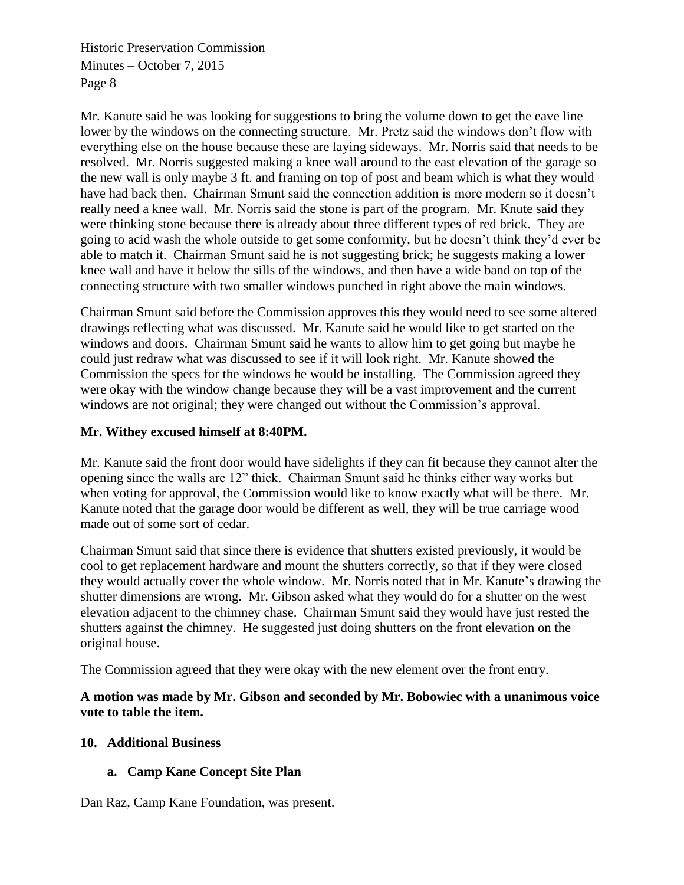Mr. Kanute said he was looking for suggestions to bring the volume down to get the eave line lower by the windows on the connecting structure. Mr. Pretz said the windows don't flow with everything else on the house because these are laying sideways. Mr. Norris said that needs to be resolved. Mr. Norris suggested making a knee wall around to the east elevation of the garage so the new wall is only maybe 3 ft. and framing on top of post and beam which is what they would have had back then. Chairman Smunt said the connection addition is more modern so it doesn't really need a knee wall. Mr. Norris said the stone is part of the program. Mr. Knute said they were thinking stone because there is already about three different types of red brick. They are going to acid wash the whole outside to get some conformity, but he doesn't think they'd ever be able to match it. Chairman Smunt said he is not suggesting brick; he suggests making a lower knee wall and have it below the sills of the windows, and then have a wide band on top of the connecting structure with two smaller windows punched in right above the main windows.

Chairman Smunt said before the Commission approves this they would need to see some altered drawings reflecting what was discussed. Mr. Kanute said he would like to get started on the windows and doors. Chairman Smunt said he wants to allow him to get going but maybe he could just redraw what was discussed to see if it will look right. Mr. Kanute showed the Commission the specs for the windows he would be installing. The Commission agreed they were okay with the window change because they will be a vast improvement and the current windows are not original; they were changed out without the Commission's approval.

## **Mr. Withey excused himself at 8:40PM.**

Mr. Kanute said the front door would have sidelights if they can fit because they cannot alter the opening since the walls are 12" thick. Chairman Smunt said he thinks either way works but when voting for approval, the Commission would like to know exactly what will be there. Mr. Kanute noted that the garage door would be different as well, they will be true carriage wood made out of some sort of cedar.

Chairman Smunt said that since there is evidence that shutters existed previously, it would be cool to get replacement hardware and mount the shutters correctly, so that if they were closed they would actually cover the whole window. Mr. Norris noted that in Mr. Kanute's drawing the shutter dimensions are wrong. Mr. Gibson asked what they would do for a shutter on the west elevation adjacent to the chimney chase. Chairman Smunt said they would have just rested the shutters against the chimney. He suggested just doing shutters on the front elevation on the original house.

The Commission agreed that they were okay with the new element over the front entry.

**A motion was made by Mr. Gibson and seconded by Mr. Bobowiec with a unanimous voice vote to table the item.** 

#### **10. Additional Business**

## **a. Camp Kane Concept Site Plan**

Dan Raz, Camp Kane Foundation, was present.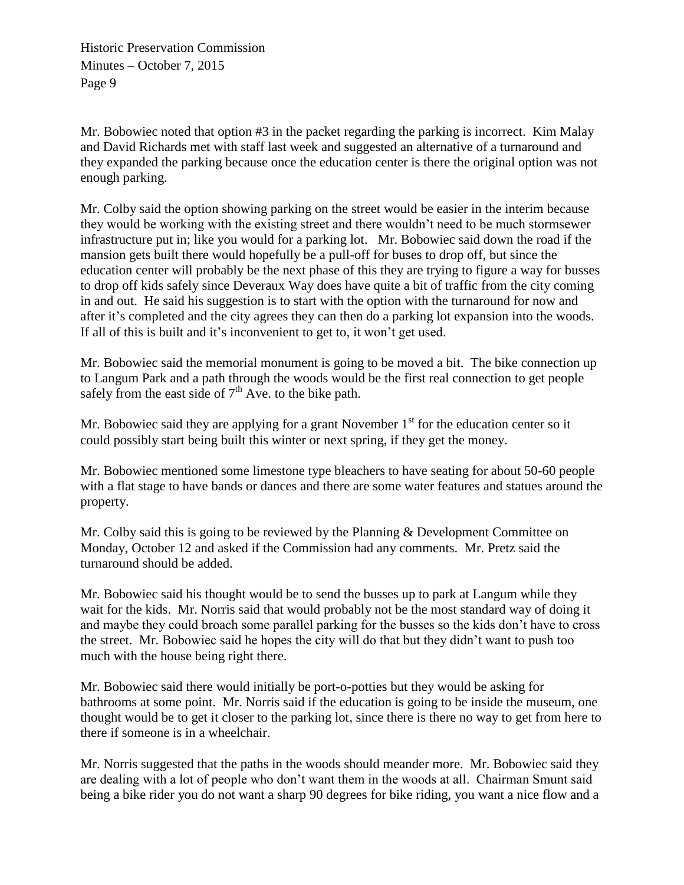Mr. Bobowiec noted that option #3 in the packet regarding the parking is incorrect. Kim Malay and David Richards met with staff last week and suggested an alternative of a turnaround and they expanded the parking because once the education center is there the original option was not enough parking.

Mr. Colby said the option showing parking on the street would be easier in the interim because they would be working with the existing street and there wouldn't need to be much stormsewer infrastructure put in; like you would for a parking lot. Mr. Bobowiec said down the road if the mansion gets built there would hopefully be a pull-off for buses to drop off, but since the education center will probably be the next phase of this they are trying to figure a way for busses to drop off kids safely since Deveraux Way does have quite a bit of traffic from the city coming in and out. He said his suggestion is to start with the option with the turnaround for now and after it's completed and the city agrees they can then do a parking lot expansion into the woods. If all of this is built and it's inconvenient to get to, it won't get used.

Mr. Bobowiec said the memorial monument is going to be moved a bit. The bike connection up to Langum Park and a path through the woods would be the first real connection to get people safely from the east side of  $7<sup>th</sup>$  Ave. to the bike path.

Mr. Bobowiec said they are applying for a grant November  $1<sup>st</sup>$  for the education center so it could possibly start being built this winter or next spring, if they get the money.

Mr. Bobowiec mentioned some limestone type bleachers to have seating for about 50-60 people with a flat stage to have bands or dances and there are some water features and statues around the property.

Mr. Colby said this is going to be reviewed by the Planning  $\&$  Development Committee on Monday, October 12 and asked if the Commission had any comments. Mr. Pretz said the turnaround should be added.

Mr. Bobowiec said his thought would be to send the busses up to park at Langum while they wait for the kids. Mr. Norris said that would probably not be the most standard way of doing it and maybe they could broach some parallel parking for the busses so the kids don't have to cross the street. Mr. Bobowiec said he hopes the city will do that but they didn't want to push too much with the house being right there.

Mr. Bobowiec said there would initially be port-o-potties but they would be asking for bathrooms at some point. Mr. Norris said if the education is going to be inside the museum, one thought would be to get it closer to the parking lot, since there is there no way to get from here to there if someone is in a wheelchair.

Mr. Norris suggested that the paths in the woods should meander more. Mr. Bobowiec said they are dealing with a lot of people who don't want them in the woods at all. Chairman Smunt said being a bike rider you do not want a sharp 90 degrees for bike riding, you want a nice flow and a